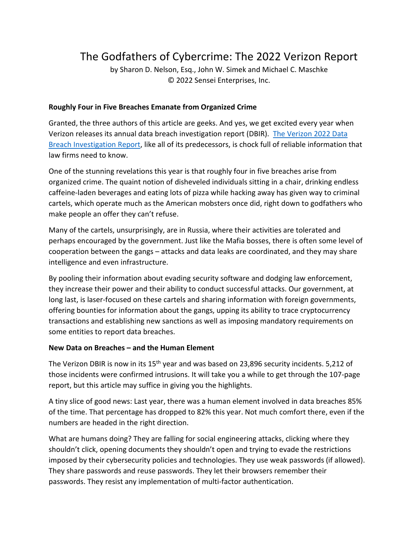# The Godfathers of Cybercrime: The 2022 Verizon Report

by Sharon D. Nelson, Esq., John W. Simek and Michael C. Maschke © 2022 Sensei Enterprises, Inc.

### **Roughly Four in Five Breaches Emanate from Organized Crime**

Granted, the three authors of this article are geeks. And yes, we get excited every year when Verizon releases its annual data breach investigation report (DBIR). [The Verizon 2022 Data](https://www.verizon.com/business/resources/reports/dbir/)  [Breach Investigation](https://www.verizon.com/business/resources/reports/dbir/) Report, like all of its predecessors, is chock full of reliable information that law firms need to know.

One of the stunning revelations this year is that roughly four in five breaches arise from organized crime. The quaint notion of disheveled individuals sitting in a chair, drinking endless caffeine-laden beverages and eating lots of pizza while hacking away has given way to criminal cartels, which operate much as the American mobsters once did, right down to godfathers who make people an offer they can't refuse.

Many of the cartels, unsurprisingly, are in Russia, where their activities are tolerated and perhaps encouraged by the government. Just like the Mafia bosses, there is often some level of cooperation between the gangs – attacks and data leaks are coordinated, and they may share intelligence and even infrastructure.

By pooling their information about evading security software and dodging law enforcement, they increase their power and their ability to conduct successful attacks. Our government, at long last, is laser-focused on these cartels and sharing information with foreign governments, offering bounties for information about the gangs, upping its ability to trace cryptocurrency transactions and establishing new sanctions as well as imposing mandatory requirements on some entities to report data breaches.

#### **New Data on Breaches – and the Human Element**

The Verizon DBIR is now in its 15<sup>th</sup> year and was based on 23,896 security incidents. 5,212 of those incidents were confirmed intrusions. It will take you a while to get through the 107-page report, but this article may suffice in giving you the highlights.

A tiny slice of good news: Last year, there was a human element involved in data breaches 85% of the time. That percentage has dropped to 82% this year. Not much comfort there, even if the numbers are headed in the right direction.

What are humans doing? They are falling for social engineering attacks, clicking where they shouldn't click, opening documents they shouldn't open and trying to evade the restrictions imposed by their cybersecurity policies and technologies. They use weak passwords (if allowed). They share passwords and reuse passwords. They let their browsers remember their passwords. They resist any implementation of multi-factor authentication.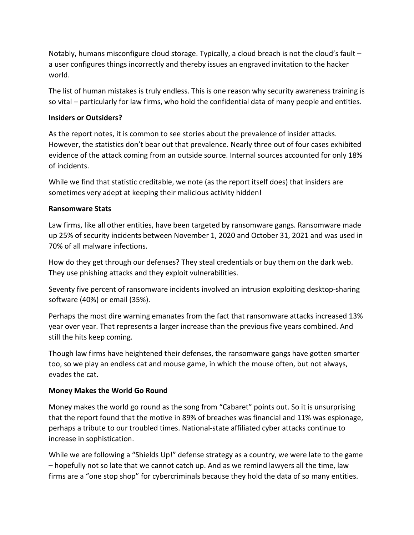Notably, humans misconfigure cloud storage. Typically, a cloud breach is not the cloud's fault – a user configures things incorrectly and thereby issues an engraved invitation to the hacker world.

The list of human mistakes is truly endless. This is one reason why security awareness training is so vital – particularly for law firms, who hold the confidential data of many people and entities.

## **Insiders or Outsiders?**

As the report notes, it is common to see stories about the prevalence of insider attacks. However, the statistics don't bear out that prevalence. Nearly three out of four cases exhibited evidence of the attack coming from an outside source. Internal sources accounted for only 18% of incidents.

While we find that statistic creditable, we note (as the report itself does) that insiders are sometimes very adept at keeping their malicious activity hidden!

### **Ransomware Stats**

Law firms, like all other entities, have been targeted by ransomware gangs. Ransomware made up 25% of security incidents between November 1, 2020 and October 31, 2021 and was used in 70% of all malware infections.

How do they get through our defenses? They steal credentials or buy them on the dark web. They use phishing attacks and they exploit vulnerabilities.

Seventy five percent of ransomware incidents involved an intrusion exploiting desktop-sharing software (40%) or email (35%).

Perhaps the most dire warning emanates from the fact that ransomware attacks increased 13% year over year. That represents a larger increase than the previous five years combined. And still the hits keep coming.

Though law firms have heightened their defenses, the ransomware gangs have gotten smarter too, so we play an endless cat and mouse game, in which the mouse often, but not always, evades the cat.

# **Money Makes the World Go Round**

Money makes the world go round as the song from "Cabaret" points out. So it is unsurprising that the report found that the motive in 89% of breaches was financial and 11% was espionage, perhaps a tribute to our troubled times. National-state affiliated cyber attacks continue to increase in sophistication.

While we are following a "Shields Up!" defense strategy as a country, we were late to the game – hopefully not so late that we cannot catch up. And as we remind lawyers all the time, law firms are a "one stop shop" for cybercriminals because they hold the data of so many entities.